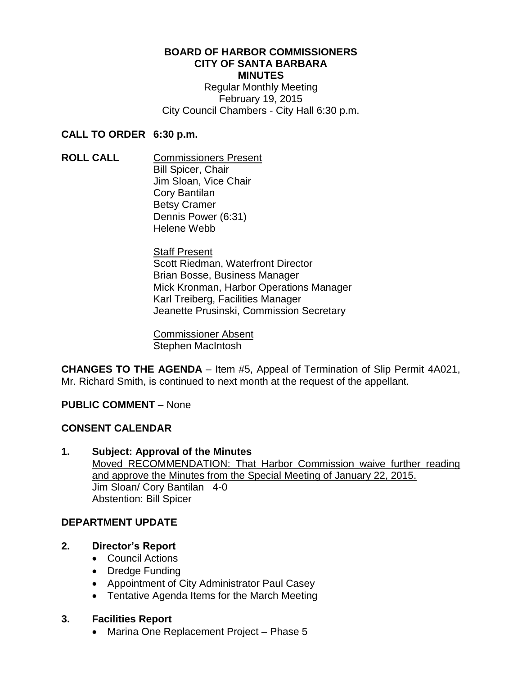# **BOARD OF HARBOR COMMISSIONERS CITY OF SANTA BARBARA MINUTES**

Regular Monthly Meeting February 19, 2015 City Council Chambers - City Hall 6:30 p.m.

# **CALL TO ORDER 6:30 p.m.**

**ROLL CALL** Commissioners Present Bill Spicer, Chair Jim Sloan, Vice Chair Cory Bantilan Betsy Cramer Dennis Power (6:31) Helene Webb

> **Staff Present** Scott Riedman, Waterfront Director Brian Bosse, Business Manager Mick Kronman, Harbor Operations Manager Karl Treiberg, Facilities Manager Jeanette Prusinski, Commission Secretary

Commissioner Absent Stephen MacIntosh

**CHANGES TO THE AGENDA** – Item #5, Appeal of Termination of Slip Permit 4A021, Mr. Richard Smith, is continued to next month at the request of the appellant.

# **PUBLIC COMMENT** – None

# **CONSENT CALENDAR**

**1. Subject: Approval of the Minutes** Moved RECOMMENDATION: That Harbor Commission waive further reading and approve the Minutes from the Special Meeting of January 22, 2015. Jim Sloan/ Cory Bantilan 4-0 Abstention: Bill Spicer

# **DEPARTMENT UPDATE**

- **2. Director's Report**
	- Council Actions
	- Dredge Funding
	- Appointment of City Administrator Paul Casey
	- Tentative Agenda Items for the March Meeting

# **3. Facilities Report**

• Marina One Replacement Project – Phase 5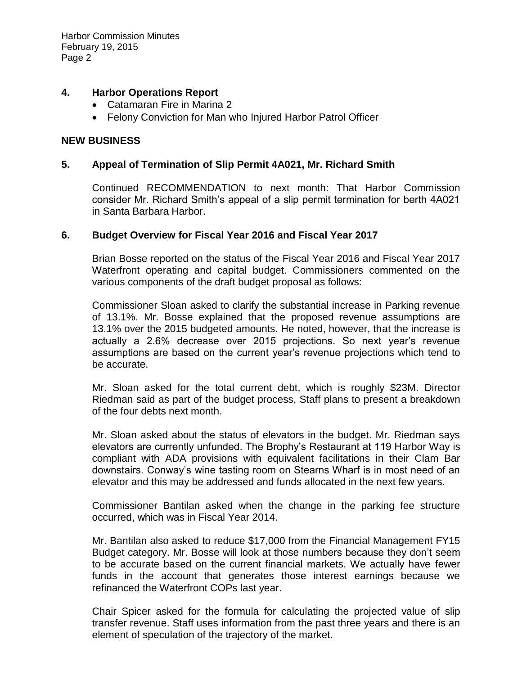## **4. Harbor Operations Report**

- Catamaran Fire in Marina 2
- Felony Conviction for Man who Injured Harbor Patrol Officer

#### **NEW BUSINESS**

#### **5. Appeal of Termination of Slip Permit 4A021, Mr. Richard Smith**

Continued RECOMMENDATION to next month: That Harbor Commission consider Mr. Richard Smith's appeal of a slip permit termination for berth 4A021 in Santa Barbara Harbor.

## **6. Budget Overview for Fiscal Year 2016 and Fiscal Year 2017**

Brian Bosse reported on the status of the Fiscal Year 2016 and Fiscal Year 2017 Waterfront operating and capital budget. Commissioners commented on the various components of the draft budget proposal as follows:

Commissioner Sloan asked to clarify the substantial increase in Parking revenue of 13.1%. Mr. Bosse explained that the proposed revenue assumptions are 13.1% over the 2015 budgeted amounts. He noted, however, that the increase is actually a 2.6% decrease over 2015 projections. So next year's revenue assumptions are based on the current year's revenue projections which tend to be accurate.

Mr. Sloan asked for the total current debt, which is roughly \$23M. Director Riedman said as part of the budget process, Staff plans to present a breakdown of the four debts next month.

Mr. Sloan asked about the status of elevators in the budget. Mr. Riedman says elevators are currently unfunded. The Brophy's Restaurant at 119 Harbor Way is compliant with ADA provisions with equivalent facilitations in their Clam Bar downstairs. Conway's wine tasting room on Stearns Wharf is in most need of an elevator and this may be addressed and funds allocated in the next few years.

Commissioner Bantilan asked when the change in the parking fee structure occurred, which was in Fiscal Year 2014.

Mr. Bantilan also asked to reduce \$17,000 from the Financial Management FY15 Budget category. Mr. Bosse will look at those numbers because they don't seem to be accurate based on the current financial markets. We actually have fewer funds in the account that generates those interest earnings because we refinanced the Waterfront COPs last year.

Chair Spicer asked for the formula for calculating the projected value of slip transfer revenue. Staff uses information from the past three years and there is an element of speculation of the trajectory of the market.